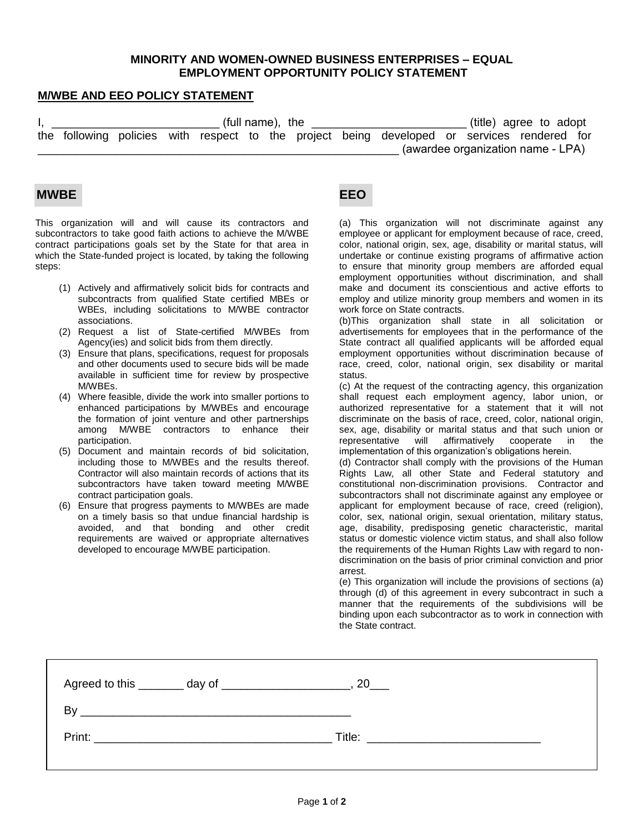## **MINORITY AND WOMEN-OWNED BUSINESS ENTERPRISES – EQUAL EMPLOYMENT OPPORTUNITY POLICY STATEMENT**

## **M/WBE AND EEO POLICY STATEMENT**

| (full name), the |  |  |  |  |  |  | (title) agree to adopt                                                                      |                                   |  |  |
|------------------|--|--|--|--|--|--|---------------------------------------------------------------------------------------------|-----------------------------------|--|--|
|                  |  |  |  |  |  |  | the following policies with respect to the project being developed or services rendered for |                                   |  |  |
|                  |  |  |  |  |  |  |                                                                                             | (awardee organization name - LPA) |  |  |

## **MWBE EEO**

This organization will and will cause its contractors and subcontractors to take good faith actions to achieve the M/WBE contract participations goals set by the State for that area in which the State-funded project is located, by taking the following steps:

- (1) Actively and affirmatively solicit bids for contracts and subcontracts from qualified State certified MBEs or WBEs, including solicitations to M/WBE contractor associations.
- (2) Request a list of State-certified M/WBEs from Agency(ies) and solicit bids from them directly.
- (3) Ensure that plans, specifications, request for proposals and other documents used to secure bids will be made available in sufficient time for review by prospective M/WBEs.
- (4) Where feasible, divide the work into smaller portions to enhanced participations by M/WBEs and encourage the formation of joint venture and other partnerships among M/WBE contractors to enhance their participation.
- (5) Document and maintain records of bid solicitation, including those to M/WBEs and the results thereof. Contractor will also maintain records of actions that its subcontractors have taken toward meeting M/WBE contract participation goals.
- (6) Ensure that progress payments to M/WBEs are made on a timely basis so that undue financial hardship is avoided, and that bonding and other credit requirements are waived or appropriate alternatives developed to encourage M/WBE participation.

(a) This organization will not discriminate against any employee or applicant for employment because of race, creed, color, national origin, sex, age, disability or marital status, will undertake or continue existing programs of affirmative action to ensure that minority group members are afforded equal employment opportunities without discrimination, and shall make and document its conscientious and active efforts to employ and utilize minority group members and women in its work force on State contracts.

(b)This organization shall state in all solicitation or advertisements for employees that in the performance of the State contract all qualified applicants will be afforded equal employment opportunities without discrimination because of race, creed, color, national origin, sex disability or marital status.

(c) At the request of the contracting agency, this organization shall request each employment agency, labor union, or authorized representative for a statement that it will not discriminate on the basis of race, creed, color, national origin, sex, age, disability or marital status and that such union or representative will affirmatively cooperate in the implementation of this organization's obligations herein.

(d) Contractor shall comply with the provisions of the Human Rights Law, all other State and Federal statutory and constitutional non-discrimination provisions. Contractor and subcontractors shall not discriminate against any employee or applicant for employment because of race, creed (religion), color, sex, national origin, sexual orientation, military status, age, disability, predisposing genetic characteristic, marital status or domestic violence victim status, and shall also follow the requirements of the Human Rights Law with regard to nondiscrimination on the basis of prior criminal conviction and prior arrest.

(e) This organization will include the provisions of sections (a) through (d) of this agreement in every subcontract in such a manner that the requirements of the subdivisions will be binding upon each subcontractor as to work in connection with the State contract.

| B٧     |                                                           |        |
|--------|-----------------------------------------------------------|--------|
| Print: | <u> 1980 - Andrea Andrewski, fransk politik (d. 1980)</u> | Title: |
|        |                                                           |        |